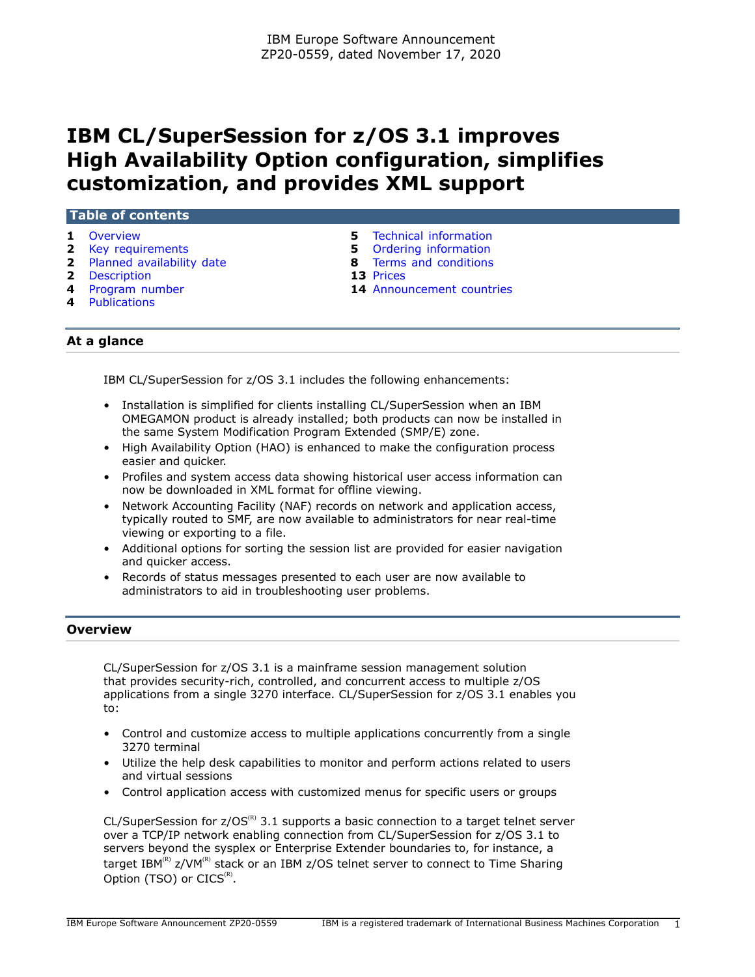# **IBM CL/SuperSession for z/OS 3.1 improves High Availability Option configuration, simplifies customization, and provides XML support**

| <b>Table of contents</b> |  |
|--------------------------|--|
| Overview                 |  |

- 
- **2** [Planned availability date](#page-1-1) **8** [Terms and conditions](#page-7-0)
- **2** [Description](#page-1-2) **13** [Prices](#page-12-0)
- 
- **4** [Publications](#page-3-1)
- **5** [Technical information](#page-4-0)
- **2** [Key requirements](#page-1-0) **5** [Ordering information](#page-4-1)
	-
	-
- **4** [Program number](#page-3-0) **14** [Announcement countries](#page-13-0)

# **At a glance**

IBM CL/SuperSession for z/OS 3.1 includes the following enhancements:

- Installation is simplified for clients installing CL/SuperSession when an IBM OMEGAMON product is already installed; both products can now be installed in the same System Modification Program Extended (SMP/E) zone.
- High Availability Option (HAO) is enhanced to make the configuration process easier and quicker.
- Profiles and system access data showing historical user access information can now be downloaded in XML format for offline viewing.
- Network Accounting Facility (NAF) records on network and application access, typically routed to SMF, are now available to administrators for near real-time viewing or exporting to a file.
- Additional options for sorting the session list are provided for easier navigation and quicker access.
- Records of status messages presented to each user are now available to administrators to aid in troubleshooting user problems.

# <span id="page-0-0"></span>**Overview**

CL/SuperSession for z/OS 3.1 is a mainframe session management solution that provides security-rich, controlled, and concurrent access to multiple z/OS applications from a single 3270 interface. CL/SuperSession for z/OS 3.1 enables you to:

- Control and customize access to multiple applications concurrently from a single 3270 terminal
- Utilize the help desk capabilities to monitor and perform actions related to users and virtual sessions
- Control application access with customized menus for specific users or groups

CL/SuperSession for  $z/OS^{(R)}$  3.1 supports a basic connection to a target telnet server over a TCP/IP network enabling connection from CL/SuperSession for z/OS 3.1 to servers beyond the sysplex or Enterprise Extender boundaries to, for instance, a target IBM(R) z/VM(R) stack or an IBM z/OS telnet server to connect to Time Sharing Option (TSO) or  $CICS^{(R)}$ .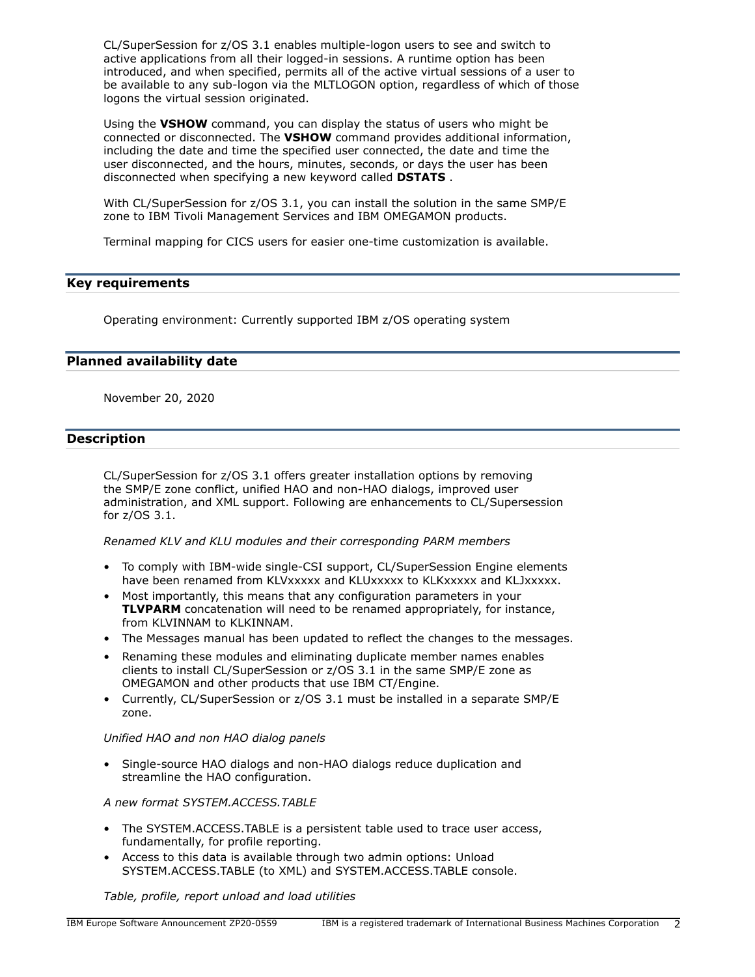CL/SuperSession for z/OS 3.1 enables multiple-logon users to see and switch to active applications from all their logged-in sessions. A runtime option has been introduced, and when specified, permits all of the active virtual sessions of a user to be available to any sub-logon via the MLTLOGON option, regardless of which of those logons the virtual session originated.

Using the **VSHOW** command, you can display the status of users who might be connected or disconnected. The **VSHOW** command provides additional information, including the date and time the specified user connected, the date and time the user disconnected, and the hours, minutes, seconds, or days the user has been disconnected when specifying a new keyword called **DSTATS** .

With CL/SuperSession for z/OS 3.1, you can install the solution in the same SMP/E zone to IBM Tivoli Management Services and IBM OMEGAMON products.

Terminal mapping for CICS users for easier one-time customization is available.

# <span id="page-1-0"></span>**Key requirements**

Operating environment: Currently supported IBM z/OS operating system

# <span id="page-1-1"></span>**Planned availability date**

November 20, 2020

# <span id="page-1-2"></span>**Description**

CL/SuperSession for z/OS 3.1 offers greater installation options by removing the SMP/E zone conflict, unified HAO and non-HAO dialogs, improved user administration, and XML support. Following are enhancements to CL/Supersession for z/OS 3.1.

*Renamed KLV and KLU modules and their corresponding PARM members*

- To comply with IBM-wide single-CSI support, CL/SuperSession Engine elements have been renamed from KLVxxxxx and KLUxxxxx to KLKxxxxx and KLJxxxxx.
- Most importantly, this means that any configuration parameters in your **TLVPARM** concatenation will need to be renamed appropriately, for instance, from KLVINNAM to KLKINNAM.
- The Messages manual has been updated to reflect the changes to the messages.
- Renaming these modules and eliminating duplicate member names enables clients to install CL/SuperSession or z/OS 3.1 in the same SMP/E zone as OMEGAMON and other products that use IBM CT/Engine.
- Currently, CL/SuperSession or z/OS 3.1 must be installed in a separate SMP/E zone.

# *Unified HAO and non HAO dialog panels*

• Single-source HAO dialogs and non-HAO dialogs reduce duplication and streamline the HAO configuration.

# *A new format SYSTEM.ACCESS.TABLE*

- The SYSTEM.ACCESS.TABLE is a persistent table used to trace user access, fundamentally, for profile reporting.
- Access to this data is available through two admin options: Unload SYSTEM.ACCESS.TABLE (to XML) and SYSTEM.ACCESS.TABLE console.

*Table, profile, report unload and load utilities*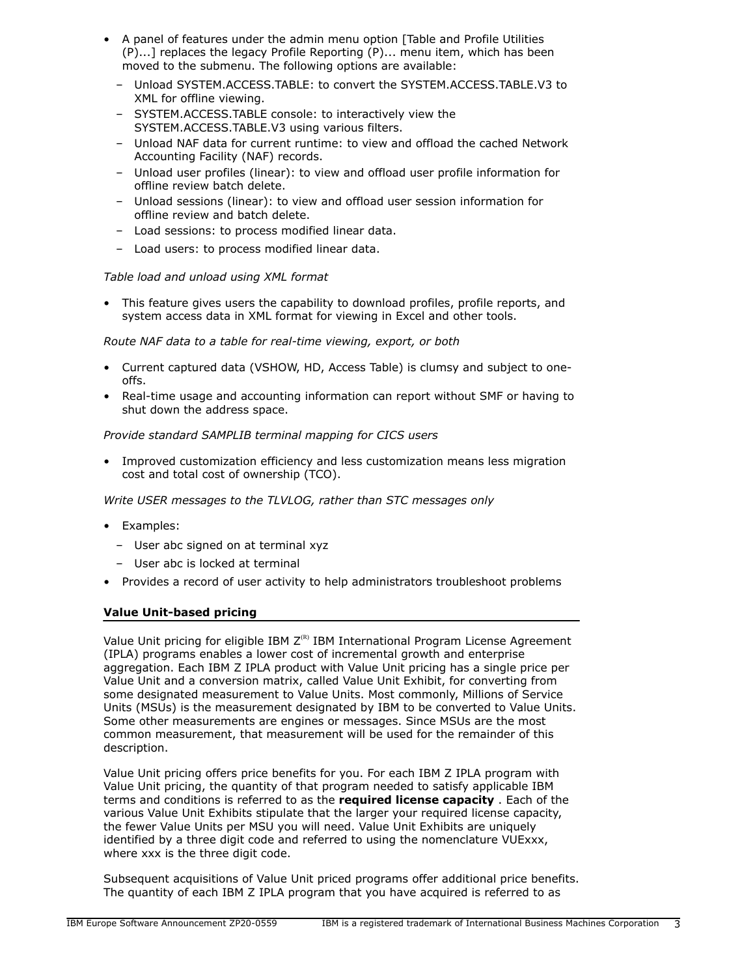- A panel of features under the admin menu option [Table and Profile Utilities (P)...] replaces the legacy Profile Reporting (P)... menu item, which has been moved to the submenu. The following options are available:
	- Unload SYSTEM.ACCESS.TABLE: to convert the SYSTEM.ACCESS.TABLE.V3 to XML for offline viewing.
	- SYSTEM.ACCESS.TABLE console: to interactively view the SYSTEM.ACCESS.TABLE.V3 using various filters.
	- Unload NAF data for current runtime: to view and offload the cached Network Accounting Facility (NAF) records.
	- Unload user profiles (linear): to view and offload user profile information for offline review batch delete.
	- Unload sessions (linear): to view and offload user session information for offline review and batch delete.
	- Load sessions: to process modified linear data.
	- Load users: to process modified linear data.

# *Table load and unload using XML format*

• This feature gives users the capability to download profiles, profile reports, and system access data in XML format for viewing in Excel and other tools.

*Route NAF data to a table for real-time viewing, export, or both*

- Current captured data (VSHOW, HD, Access Table) is clumsy and subject to oneoffs.
- Real-time usage and accounting information can report without SMF or having to shut down the address space.

# *Provide standard SAMPLIB terminal mapping for CICS users*

• Improved customization efficiency and less customization means less migration cost and total cost of ownership (TCO).

*Write USER messages to the TLVLOG, rather than STC messages only*

- Examples:
	- User abc signed on at terminal xyz
	- User abc is locked at terminal
- Provides a record of user activity to help administrators troubleshoot problems

# **Value Unit-based pricing**

Value Unit pricing for eligible IBM  $Z^{(R)}$  IBM International Program License Agreement (IPLA) programs enables a lower cost of incremental growth and enterprise aggregation. Each IBM Z IPLA product with Value Unit pricing has a single price per Value Unit and a conversion matrix, called Value Unit Exhibit, for converting from some designated measurement to Value Units. Most commonly, Millions of Service Units (MSUs) is the measurement designated by IBM to be converted to Value Units. Some other measurements are engines or messages. Since MSUs are the most common measurement, that measurement will be used for the remainder of this description.

Value Unit pricing offers price benefits for you. For each IBM Z IPLA program with Value Unit pricing, the quantity of that program needed to satisfy applicable IBM terms and conditions is referred to as the **required license capacity** . Each of the various Value Unit Exhibits stipulate that the larger your required license capacity, the fewer Value Units per MSU you will need. Value Unit Exhibits are uniquely identified by a three digit code and referred to using the nomenclature VUExxx, where xxx is the three digit code.

Subsequent acquisitions of Value Unit priced programs offer additional price benefits. The quantity of each IBM Z IPLA program that you have acquired is referred to as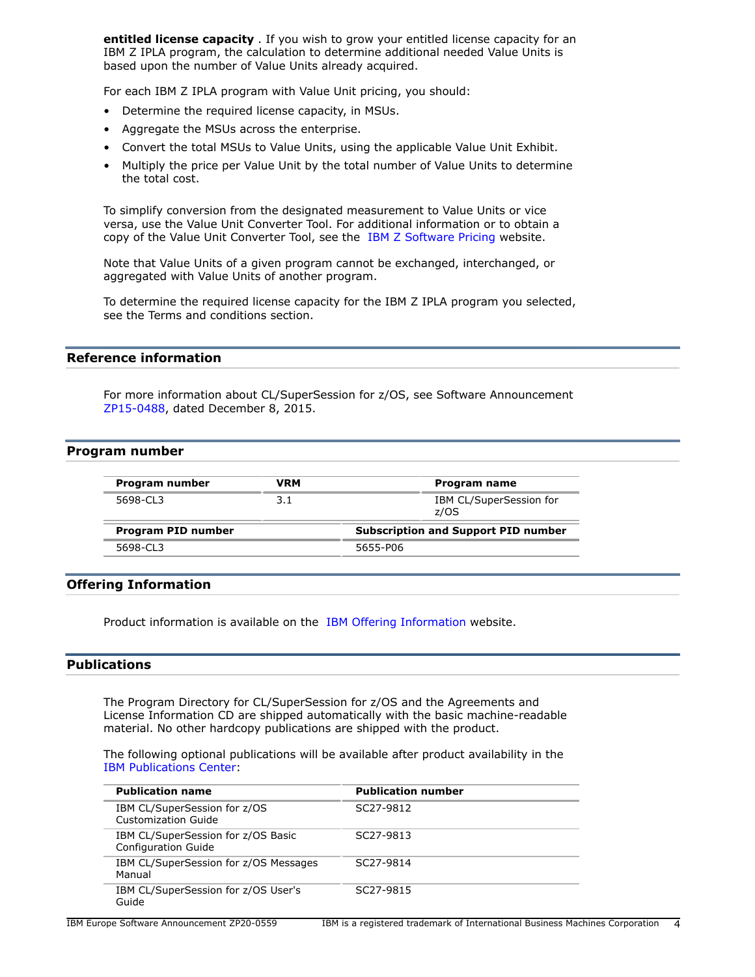**entitled license capacity** . If you wish to grow your entitled license capacity for an IBM Z IPLA program, the calculation to determine additional needed Value Units is based upon the number of Value Units already acquired.

For each IBM Z IPLA program with Value Unit pricing, you should:

- Determine the required license capacity, in MSUs.
- Aggregate the MSUs across the enterprise.
- Convert the total MSUs to Value Units, using the applicable Value Unit Exhibit.
- Multiply the price per Value Unit by the total number of Value Units to determine the total cost.

To simplify conversion from the designated measurement to Value Units or vice versa, use the Value Unit Converter Tool. For additional information or to obtain a copy of the Value Unit Converter Tool, see the [IBM Z Software Pricing](http://www.ibm.com/zseries/swprice/vuctool) website.

Note that Value Units of a given program cannot be exchanged, interchanged, or aggregated with Value Units of another program.

To determine the required license capacity for the IBM Z IPLA program you selected, see the Terms and conditions section.

# **Reference information**

For more information about CL/SuperSession for z/OS, see Software Announcement [ZP15-0488,](http://www.ibm.com/common/ssi/cgi-bin/ssialias?infotype=an&subtype=ca&appname=gpateam&supplier=877&letternum=ENUSZP15-0488) dated December 8, 2015.

### <span id="page-3-0"></span>**Program number**

| Program number     | VRM | Program name                               |
|--------------------|-----|--------------------------------------------|
| 5698-CL3           | 3.1 | IBM CL/SuperSession for<br>z/OS            |
| Program PID number |     | <b>Subscription and Support PID number</b> |
| 5698-CL3           |     | 5655-P06                                   |

### **Offering Information**

Product information is available on the [IBM Offering Information](http://www.ibm.com/common/ssi) website.

# <span id="page-3-1"></span>**Publications**

The Program Directory for CL/SuperSession for z/OS and the Agreements and License Information CD are shipped automatically with the basic machine-readable material. No other hardcopy publications are shipped with the product.

The following optional publications will be available after product availability in the [IBM Publications Center](http://www.ibm.com/shop/publications/order):

| <b>Publication name</b>                                          | <b>Publication number</b> |
|------------------------------------------------------------------|---------------------------|
| IBM CL/SuperSession for z/OS<br><b>Customization Guide</b>       | SC27-9812                 |
| IBM CL/SuperSession for z/OS Basic<br><b>Configuration Guide</b> | SC <sub>27</sub> -9813    |
| IBM CL/SuperSession for z/OS Messages<br>Manual                  | SC27-9814                 |
| IBM CL/SuperSession for z/OS User's<br>Guide                     | SC27-9815                 |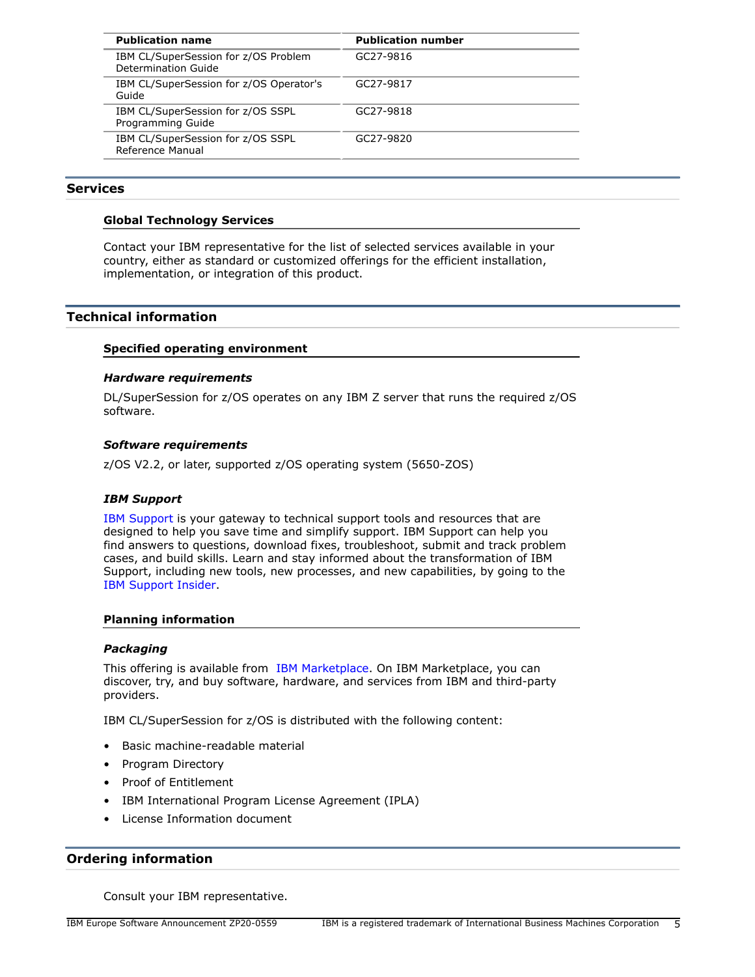| <b>Publication name</b>                                     | <b>Publication number</b> |
|-------------------------------------------------------------|---------------------------|
| IBM CL/SuperSession for z/OS Problem<br>Determination Guide | GC27-9816                 |
| IBM CL/SuperSession for z/OS Operator's<br>Guide            | GC27-9817                 |
| IBM CL/SuperSession for z/OS SSPL<br>Programming Guide      | GC27-9818                 |
| IBM CL/SuperSession for z/OS SSPL<br>Reference Manual       | GC27-9820                 |

# **Services**

### **Global Technology Services**

Contact your IBM representative for the list of selected services available in your country, either as standard or customized offerings for the efficient installation, implementation, or integration of this product.

# <span id="page-4-0"></span>**Technical information**

### **Specified operating environment**

### *Hardware requirements*

DL/SuperSession for z/OS operates on any IBM Z server that runs the required z/OS software.

### *Software requirements*

z/OS V2.2, or later, supported z/OS operating system (5650-ZOS)

# *IBM Support*

[IBM Support](https://www.ibm.com/support) is your gateway to technical support tools and resources that are designed to help you save time and simplify support. IBM Support can help you find answers to questions, download fixes, troubleshoot, submit and track problem cases, and build skills. Learn and stay informed about the transformation of IBM Support, including new tools, new processes, and new capabilities, by going to the [IBM Support Insider](https://www.ibm.com/support/insider).

### **Planning information**

### *Packaging*

This offering is available from [IBM Marketplace](https://www.ibm.com/us-en/marketplace). On IBM Marketplace, you can discover, try, and buy software, hardware, and services from IBM and third-party providers.

IBM CL/SuperSession for z/OS is distributed with the following content:

- Basic machine-readable material
- Program Directory
- Proof of Entitlement
- IBM International Program License Agreement (IPLA)
- License Information document

# <span id="page-4-1"></span>**Ordering information**

Consult your IBM representative.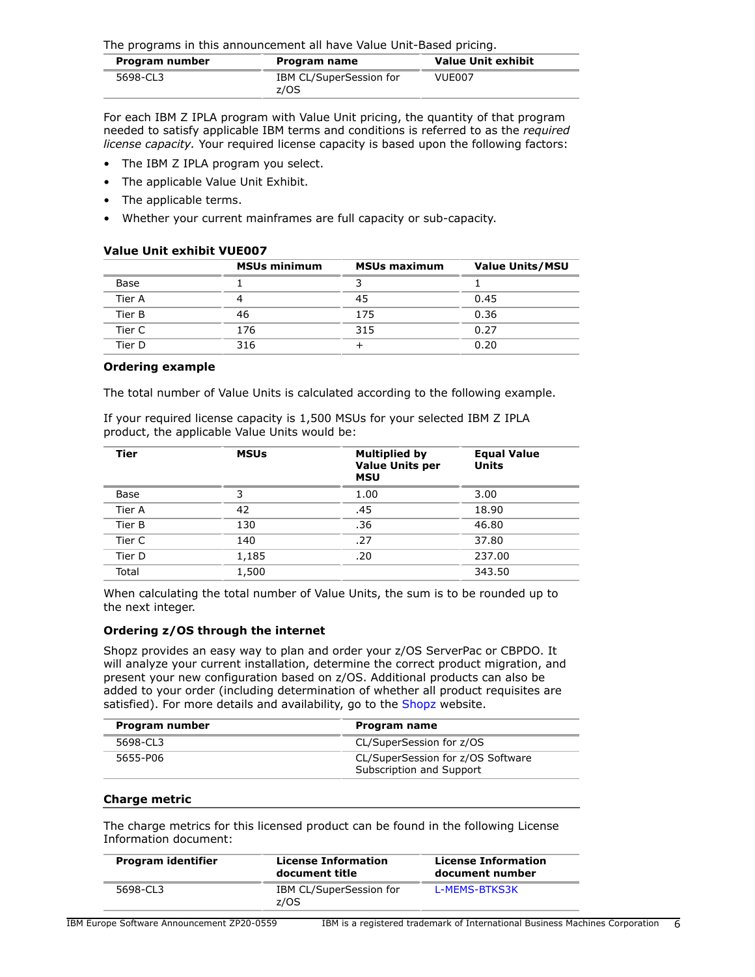The programs in this announcement all have Value Unit-Based pricing.

| Program number | Program name                    | <b>Value Unit exhibit</b> |
|----------------|---------------------------------|---------------------------|
| 5698-CL3       | IBM CL/SuperSession for<br>z/OS | VUE007                    |

For each IBM Z IPLA program with Value Unit pricing, the quantity of that program needed to satisfy applicable IBM terms and conditions is referred to as the *required license capacity.* Your required license capacity is based upon the following factors:

- The IBM Z IPLA program you select.
- The applicable Value Unit Exhibit.
- The applicable terms.
- Whether your current mainframes are full capacity or sub-capacity.

### **Value Unit exhibit VUE007**

|        | <b>MSUs minimum</b> | <b>MSUs maximum</b> | <b>Value Units/MSU</b> |
|--------|---------------------|---------------------|------------------------|
| Base   |                     |                     |                        |
| Tier A |                     | 45                  | 0.45                   |
| Tier B | 46                  | 175                 | 0.36                   |
| Tier C | 176                 | 315                 | 0.27                   |
| Tier D | 316                 |                     | 0.20                   |

#### **Ordering example**

The total number of Value Units is calculated according to the following example.

If your required license capacity is 1,500 MSUs for your selected IBM Z IPLA product, the applicable Value Units would be:

| Tier   | <b>MSUs</b> | <b>Multiplied by</b><br><b>Value Units per</b><br><b>MSU</b> | <b>Equal Value</b><br><b>Units</b> |
|--------|-------------|--------------------------------------------------------------|------------------------------------|
| Base   | 3           | 1.00                                                         | 3.00                               |
| Tier A | 42          | .45                                                          | 18.90                              |
| Tier B | 130         | .36                                                          | 46.80                              |
| Tier C | 140         | .27                                                          | 37.80                              |
| Tier D | 1,185       | .20                                                          | 237.00                             |
| Total  | 1,500       |                                                              | 343.50                             |

When calculating the total number of Value Units, the sum is to be rounded up to the next integer.

### **Ordering z/OS through the internet**

Shopz provides an easy way to plan and order your z/OS ServerPac or CBPDO. It will analyze your current installation, determine the correct product migration, and present your new configuration based on z/OS. Additional products can also be added to your order (including determination of whether all product requisites are satisfied). For more details and availability, go to the [Shopz](https://www.ibm.com/client-tools/shopz) website.

| Program number | Program name                                                  |
|----------------|---------------------------------------------------------------|
| 5698-CL3       | CL/SuperSession for z/OS                                      |
| 5655-P06       | CL/SuperSession for z/OS Software<br>Subscription and Support |

### **Charge metric**

The charge metrics for this licensed product can be found in the following License Information document:

| Program identifier | <b>License Information</b><br>document title | <b>License Information</b><br>document number |
|--------------------|----------------------------------------------|-----------------------------------------------|
| 5698-CL3           | IBM CL/SuperSession for<br>z/OS              | L-MEMS-BTKS3K                                 |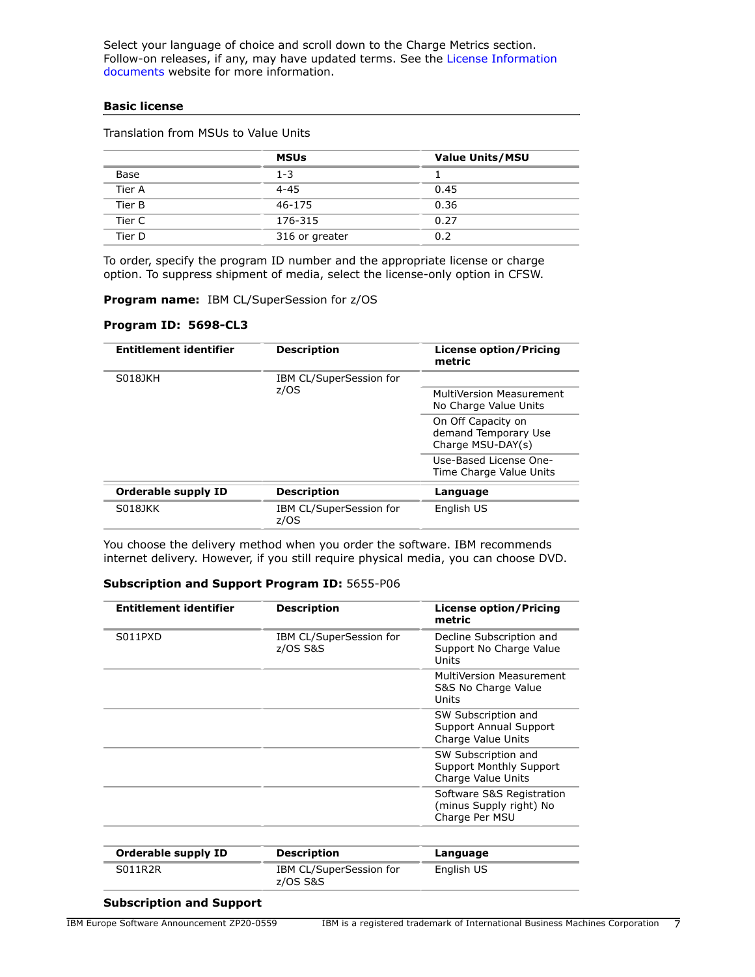Select your language of choice and scroll down to the Charge Metrics section. Follow-on releases, if any, may have updated terms. See the [License Information](https://www.ibm.com/software/sla/sladb.nsf/search?OpenForm) [documents](https://www.ibm.com/software/sla/sladb.nsf/search?OpenForm) website for more information.

### **Basic license**

|        | <b>MSUs</b>    | <b>Value Units/MSU</b> |
|--------|----------------|------------------------|
| Base   | $1 - 3$        |                        |
| Tier A | $4 - 45$       | 0.45                   |
| Tier B | 46-175         | 0.36                   |
| Tier C | 176-315        | 0.27                   |
| Tier D | 316 or greater | 0.2                    |

Translation from MSUs to Value Units

To order, specify the program ID number and the appropriate license or charge option. To suppress shipment of media, select the license-only option in CFSW.

**Program name:** IBM CL/SuperSession for z/OS

### **Program ID: 5698-CL3**

| <b>Entitlement identifier</b> | <b>Description</b>              | <b>License option/Pricing</b><br>metric                         |
|-------------------------------|---------------------------------|-----------------------------------------------------------------|
| S018JKH                       | IBM CL/SuperSession for         |                                                                 |
|                               | z/OS                            | MultiVersion Measurement<br>No Charge Value Units               |
|                               |                                 | On Off Capacity on<br>demand Temporary Use<br>Charge MSU-DAY(s) |
|                               |                                 | Use-Based License One-<br>Time Charge Value Units               |
| <b>Orderable supply ID</b>    | <b>Description</b>              | Language                                                        |
| S018JKK                       | IBM CL/SuperSession for<br>z/OS | English US                                                      |

You choose the delivery method when you order the software. IBM recommends internet delivery. However, if you still require physical media, you can choose DVD.

### **Subscription and Support Program ID:** 5655-P06

| <b>Entitlement identifier</b>    | <b>Description</b>                  | <b>License option/Pricing</b><br>metric                                     |
|----------------------------------|-------------------------------------|-----------------------------------------------------------------------------|
| S <sub>011</sub> P <sub>xD</sub> | IBM CL/SuperSession for<br>z/OS S&S | Decline Subscription and<br>Support No Charge Value<br>Units                |
|                                  |                                     | MultiVersion Measurement<br>S&S No Charge Value<br>Units                    |
|                                  |                                     | SW Subscription and<br>Support Annual Support<br>Charge Value Units         |
|                                  |                                     | SW Subscription and<br><b>Support Monthly Support</b><br>Charge Value Units |
|                                  |                                     | Software S&S Registration<br>(minus Supply right) No<br>Charge Per MSU      |
| <b>Orderable supply ID</b>       | <b>Description</b>                  | Language                                                                    |
| <b>S011R2R</b>                   | IBM CL/SuperSession for<br>z/OS S&S | English US                                                                  |

# **Subscription and Support**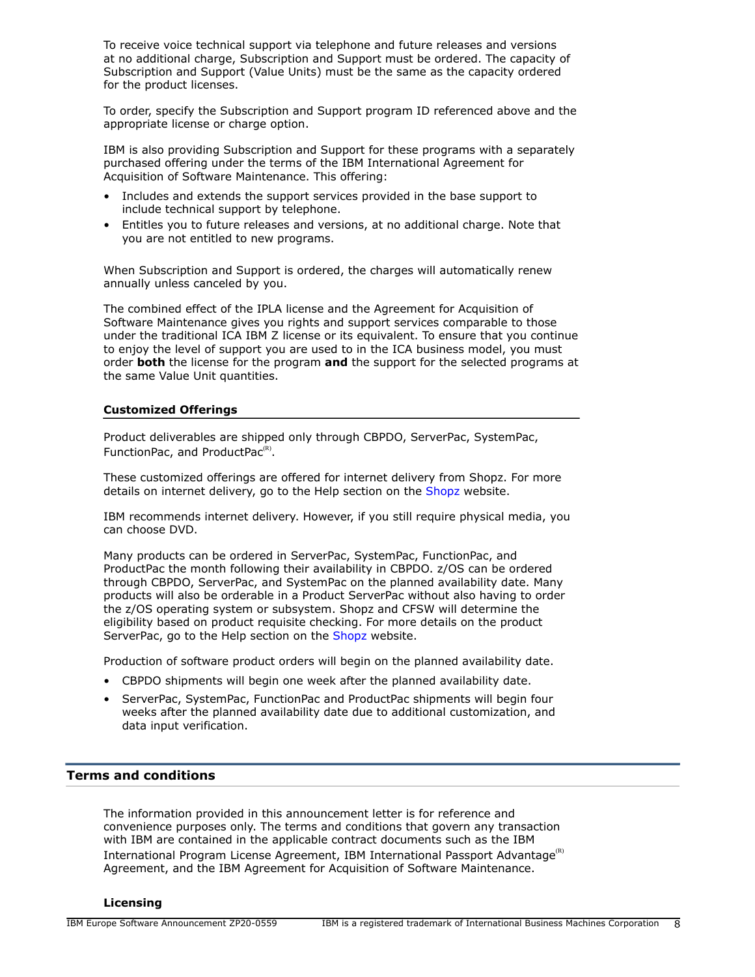To receive voice technical support via telephone and future releases and versions at no additional charge, Subscription and Support must be ordered. The capacity of Subscription and Support (Value Units) must be the same as the capacity ordered for the product licenses.

To order, specify the Subscription and Support program ID referenced above and the appropriate license or charge option.

IBM is also providing Subscription and Support for these programs with a separately purchased offering under the terms of the IBM International Agreement for Acquisition of Software Maintenance. This offering:

- Includes and extends the support services provided in the base support to include technical support by telephone.
- Entitles you to future releases and versions, at no additional charge. Note that you are not entitled to new programs.

When Subscription and Support is ordered, the charges will automatically renew annually unless canceled by you.

The combined effect of the IPLA license and the Agreement for Acquisition of Software Maintenance gives you rights and support services comparable to those under the traditional ICA IBM Z license or its equivalent. To ensure that you continue to enjoy the level of support you are used to in the ICA business model, you must order **both** the license for the program **and** the support for the selected programs at the same Value Unit quantities.

### **Customized Offerings**

Product deliverables are shipped only through CBPDO, ServerPac, SystemPac, FunctionPac, and ProductPac $<sup>(R)</sup>$ .</sup>

These customized offerings are offered for internet delivery from Shopz. For more details on internet delivery, go to the Help section on the [Shopz](http://www.software.ibm.com/ShopzSeries) website.

IBM recommends internet delivery. However, if you still require physical media, you can choose DVD.

Many products can be ordered in ServerPac, SystemPac, FunctionPac, and ProductPac the month following their availability in CBPDO. z/OS can be ordered through CBPDO, ServerPac, and SystemPac on the planned availability date. Many products will also be orderable in a Product ServerPac without also having to order the z/OS operating system or subsystem. Shopz and CFSW will determine the eligibility based on product requisite checking. For more details on the product ServerPac, go to the Help section on the [Shopz](http://www.software.ibm.com/ShopzSeries) website.

Production of software product orders will begin on the planned availability date.

- CBPDO shipments will begin one week after the planned availability date.
- ServerPac, SystemPac, FunctionPac and ProductPac shipments will begin four weeks after the planned availability date due to additional customization, and data input verification.

### <span id="page-7-0"></span>**Terms and conditions**

The information provided in this announcement letter is for reference and convenience purposes only. The terms and conditions that govern any transaction with IBM are contained in the applicable contract documents such as the IBM International Program License Agreement, IBM International Passport Advantage<sup>(R)</sup> Agreement, and the IBM Agreement for Acquisition of Software Maintenance.

#### **Licensing**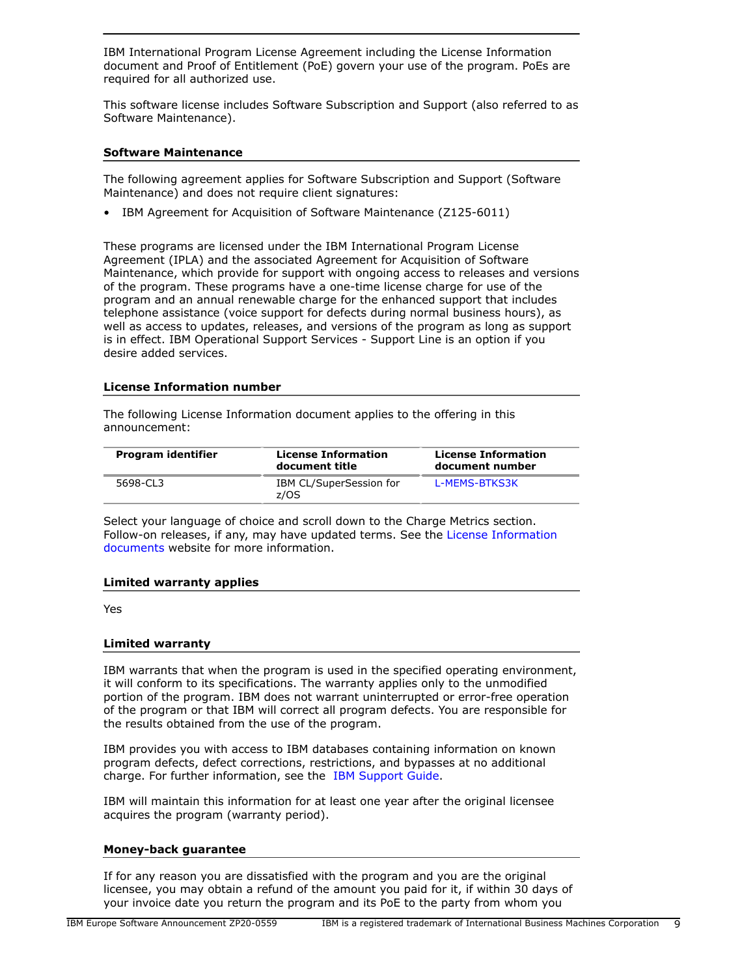IBM International Program License Agreement including the License Information document and Proof of Entitlement (PoE) govern your use of the program. PoEs are required for all authorized use.

This software license includes Software Subscription and Support (also referred to as Software Maintenance).

### **Software Maintenance**

The following agreement applies for Software Subscription and Support (Software Maintenance) and does not require client signatures:

• IBM Agreement for Acquisition of Software Maintenance (Z125-6011)

These programs are licensed under the IBM International Program License Agreement (IPLA) and the associated Agreement for Acquisition of Software Maintenance, which provide for support with ongoing access to releases and versions of the program. These programs have a one-time license charge for use of the program and an annual renewable charge for the enhanced support that includes telephone assistance (voice support for defects during normal business hours), as well as access to updates, releases, and versions of the program as long as support is in effect. IBM Operational Support Services - Support Line is an option if you desire added services.

### **License Information number**

The following License Information document applies to the offering in this announcement:

| Program identifier | <b>License Information</b><br>document title | <b>License Information</b><br>document number |
|--------------------|----------------------------------------------|-----------------------------------------------|
| 5698-CL3           | IBM CL/SuperSession for<br>z/OS              | L-MEMS-BTKS3K                                 |

Select your language of choice and scroll down to the Charge Metrics section. Follow-on releases, if any, may have updated terms. See the [License Information](https://www.ibm.com/software/sla/sladb.nsf/search?OpenForm) [documents](https://www.ibm.com/software/sla/sladb.nsf/search?OpenForm) website for more information.

### **Limited warranty applies**

Yes

### **Limited warranty**

IBM warrants that when the program is used in the specified operating environment, it will conform to its specifications. The warranty applies only to the unmodified portion of the program. IBM does not warrant uninterrupted or error-free operation of the program or that IBM will correct all program defects. You are responsible for the results obtained from the use of the program.

IBM provides you with access to IBM databases containing information on known program defects, defect corrections, restrictions, and bypasses at no additional charge. For further information, see the [IBM Support Guide](http://www.ibm.com/support/customercare/sas/f/handbook/home.html).

IBM will maintain this information for at least one year after the original licensee acquires the program (warranty period).

### **Money-back guarantee**

If for any reason you are dissatisfied with the program and you are the original licensee, you may obtain a refund of the amount you paid for it, if within 30 days of your invoice date you return the program and its PoE to the party from whom you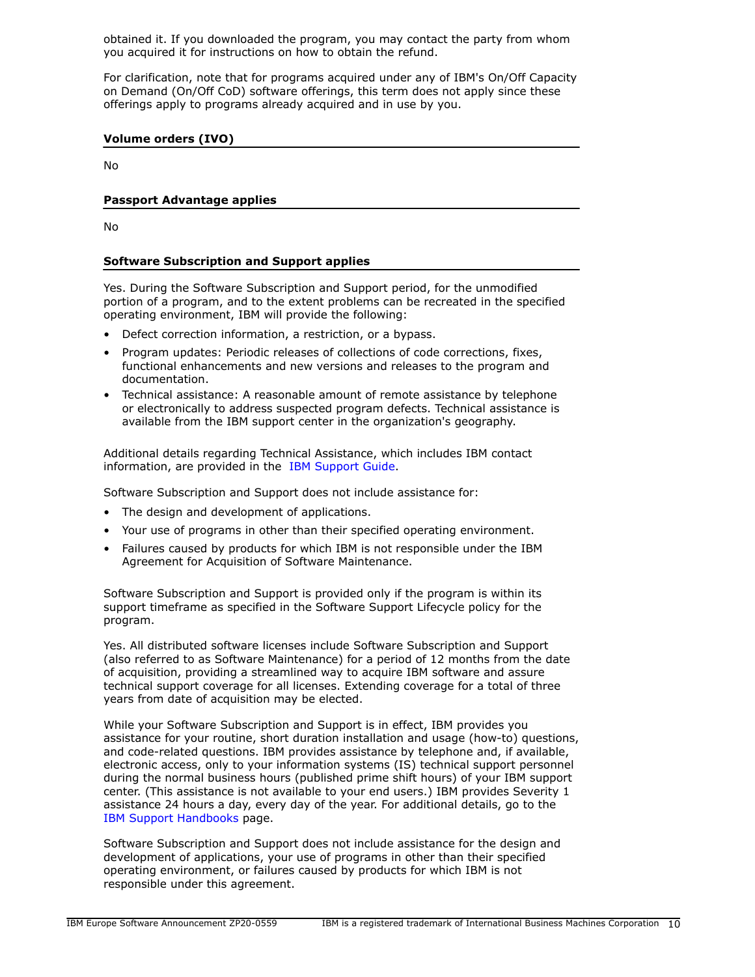obtained it. If you downloaded the program, you may contact the party from whom you acquired it for instructions on how to obtain the refund.

For clarification, note that for programs acquired under any of IBM's On/Off Capacity on Demand (On/Off CoD) software offerings, this term does not apply since these offerings apply to programs already acquired and in use by you.

# **Volume orders (IVO)**

No

# **Passport Advantage applies**

No

# **Software Subscription and Support applies**

Yes. During the Software Subscription and Support period, for the unmodified portion of a program, and to the extent problems can be recreated in the specified operating environment, IBM will provide the following:

- Defect correction information, a restriction, or a bypass.
- Program updates: Periodic releases of collections of code corrections, fixes, functional enhancements and new versions and releases to the program and documentation.
- Technical assistance: A reasonable amount of remote assistance by telephone or electronically to address suspected program defects. Technical assistance is available from the IBM support center in the organization's geography.

Additional details regarding Technical Assistance, which includes IBM contact information, are provided in the [IBM Support Guide](http://www.ibm.com/support/customercare/sas/f/handbook/home.html).

Software Subscription and Support does not include assistance for:

- The design and development of applications.
- Your use of programs in other than their specified operating environment.
- Failures caused by products for which IBM is not responsible under the IBM Agreement for Acquisition of Software Maintenance.

Software Subscription and Support is provided only if the program is within its support timeframe as specified in the Software Support Lifecycle policy for the program.

Yes. All distributed software licenses include Software Subscription and Support (also referred to as Software Maintenance) for a period of 12 months from the date of acquisition, providing a streamlined way to acquire IBM software and assure technical support coverage for all licenses. Extending coverage for a total of three years from date of acquisition may be elected.

While your Software Subscription and Support is in effect, IBM provides you assistance for your routine, short duration installation and usage (how-to) questions, and code-related questions. IBM provides assistance by telephone and, if available, electronic access, only to your information systems (IS) technical support personnel during the normal business hours (published prime shift hours) of your IBM support center. (This assistance is not available to your end users.) IBM provides Severity 1 assistance 24 hours a day, every day of the year. For additional details, go to the [IBM Support Handbooks](http://www.ibm.com/support/handbook) page.

Software Subscription and Support does not include assistance for the design and development of applications, your use of programs in other than their specified operating environment, or failures caused by products for which IBM is not responsible under this agreement.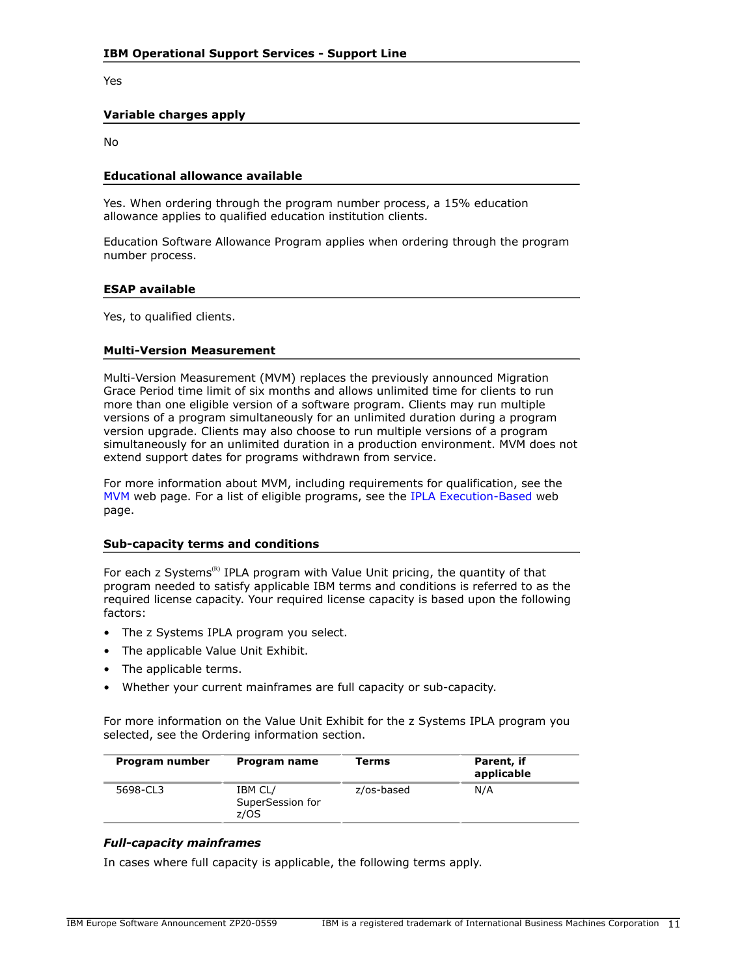Yes

### **Variable charges apply**

No

### **Educational allowance available**

Yes. When ordering through the program number process, a 15% education allowance applies to qualified education institution clients.

Education Software Allowance Program applies when ordering through the program number process.

#### **ESAP available**

Yes, to qualified clients.

### **Multi-Version Measurement**

Multi-Version Measurement (MVM) replaces the previously announced Migration Grace Period time limit of six months and allows unlimited time for clients to run more than one eligible version of a software program. Clients may run multiple versions of a program simultaneously for an unlimited duration during a program version upgrade. Clients may also choose to run multiple versions of a program simultaneously for an unlimited duration in a production environment. MVM does not extend support dates for programs withdrawn from service.

For more information about MVM, including requirements for qualification, see the [MVM](http://www.ibm.com/systems/z/resources/swprice/mvm.html) web page. For a list of eligible programs, see the [IPLA Execution-Based](http://www.ibm.com/systems/z/resources/swprice/reference/exhibits/ipla_exe.html) web page.

### **Sub-capacity terms and conditions**

For each z Systems<sup>(R)</sup> IPLA program with Value Unit pricing, the quantity of that program needed to satisfy applicable IBM terms and conditions is referred to as the required license capacity. Your required license capacity is based upon the following factors:

- The z Systems IPLA program you select.
- The applicable Value Unit Exhibit.
- The applicable terms.
- Whether your current mainframes are full capacity or sub-capacity.

For more information on the Value Unit Exhibit for the z Systems IPLA program you selected, see the Ordering information section.

| Program number | Program name                        | Terms      | Parent, if<br>applicable |
|----------------|-------------------------------------|------------|--------------------------|
| 5698-CL3       | IBM CL/<br>SuperSession for<br>z/OS | z/os-based | N/A                      |

# *Full-capacity mainframes*

In cases where full capacity is applicable, the following terms apply.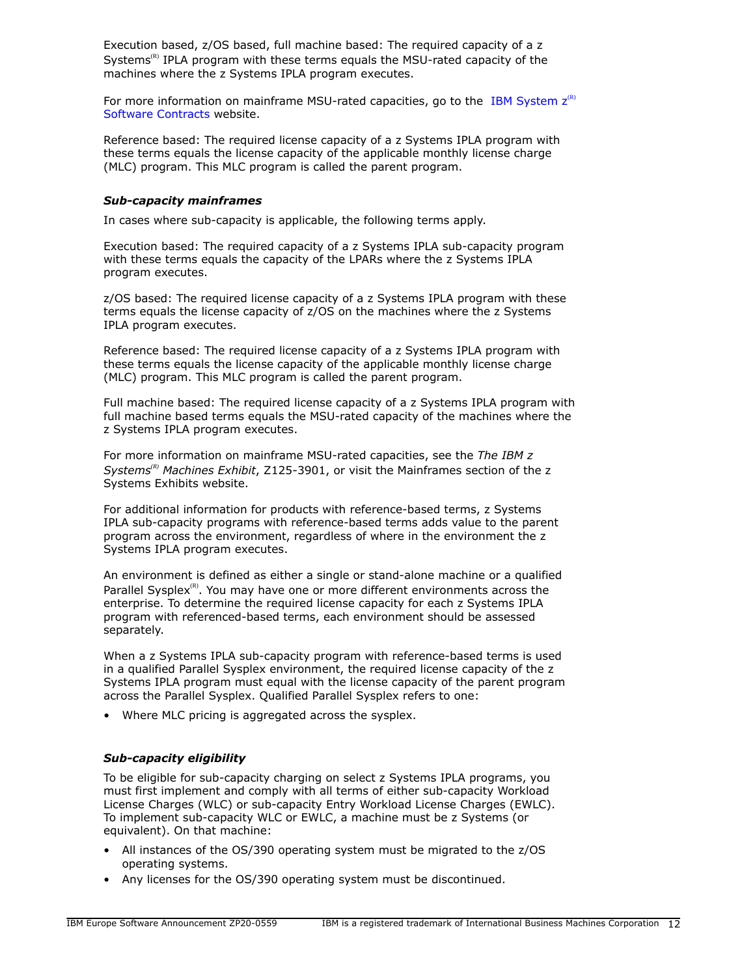Execution based, z/OS based, full machine based: The required capacity of a z Systems<sup>(R)</sup> IPLA program with these terms equals the MSU-rated capacity of the machines where the z Systems IPLA program executes.

For more information on mainframe MSU-rated capacities, go to the IBM System  $z^{(R)}$ [Software Contracts](http://www.ibm.com/systems/z/resources/swprice/reference/exhibits/) website.

Reference based: The required license capacity of a z Systems IPLA program with these terms equals the license capacity of the applicable monthly license charge (MLC) program. This MLC program is called the parent program.

### *Sub-capacity mainframes*

In cases where sub-capacity is applicable, the following terms apply.

Execution based: The required capacity of a z Systems IPLA sub-capacity program with these terms equals the capacity of the LPARs where the z Systems IPLA program executes.

z/OS based: The required license capacity of a z Systems IPLA program with these terms equals the license capacity of z/OS on the machines where the z Systems IPLA program executes.

Reference based: The required license capacity of a z Systems IPLA program with these terms equals the license capacity of the applicable monthly license charge (MLC) program. This MLC program is called the parent program.

Full machine based: The required license capacity of a z Systems IPLA program with full machine based terms equals the MSU-rated capacity of the machines where the z Systems IPLA program executes.

For more information on mainframe MSU-rated capacities, see the *The IBM z Systems(R) Machines Exhibit*, Z125-3901, or visit the Mainframes section of the z Systems Exhibits website.

For additional information for products with reference-based terms, z Systems IPLA sub-capacity programs with reference-based terms adds value to the parent program across the environment, regardless of where in the environment the z Systems IPLA program executes.

An environment is defined as either a single or stand-alone machine or a qualified Parallel Sysplex $R^{(R)}$ . You may have one or more different environments across the enterprise. To determine the required license capacity for each z Systems IPLA program with referenced-based terms, each environment should be assessed separately.

When a z Systems IPLA sub-capacity program with reference-based terms is used in a qualified Parallel Sysplex environment, the required license capacity of the z Systems IPLA program must equal with the license capacity of the parent program across the Parallel Sysplex. Qualified Parallel Sysplex refers to one:

• Where MLC pricing is aggregated across the sysplex.

# *Sub-capacity eligibility*

To be eligible for sub-capacity charging on select z Systems IPLA programs, you must first implement and comply with all terms of either sub-capacity Workload License Charges (WLC) or sub-capacity Entry Workload License Charges (EWLC). To implement sub-capacity WLC or EWLC, a machine must be z Systems (or equivalent). On that machine:

- All instances of the OS/390 operating system must be migrated to the z/OS operating systems.
- Any licenses for the OS/390 operating system must be discontinued.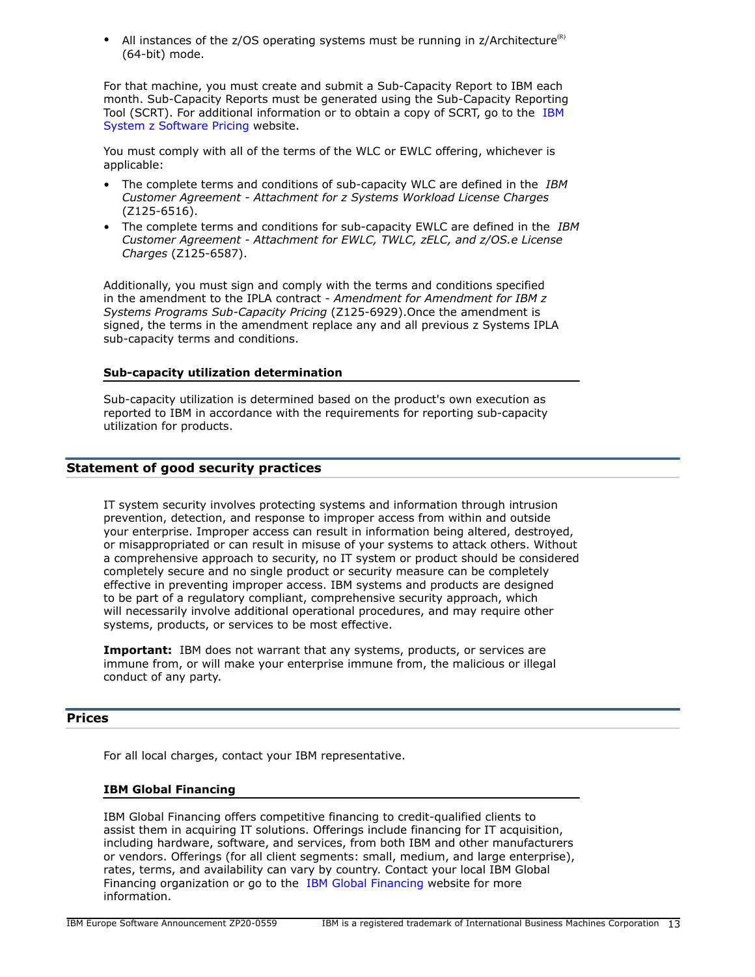• All instances of the z/OS operating systems must be running in  $z/Architecture^{(R)}$ (64-bit) mode.

For that machine, you must create and submit a Sub-Capacity Report to IBM each month. Sub-Capacity Reports must be generated using the Sub-Capacity Reporting Tool (SCRT). For additional information or to obtain a copy of SCRT, go to the [IBM](http://www.ibm.com/systems/z/resources/swprice/) [System z Software Pricing](http://www.ibm.com/systems/z/resources/swprice/) website.

You must comply with all of the terms of the WLC or EWLC offering, whichever is applicable:

- The complete terms and conditions of sub-capacity WLC are defined in the *IBM Customer Agreement - Attachment for z Systems Workload License Charges* (Z125-6516).
- The complete terms and conditions for sub-capacity EWLC are defined in the *IBM Customer Agreement - Attachment for EWLC, TWLC, zELC, and z/OS.e License Charges* (Z125-6587).

Additionally, you must sign and comply with the terms and conditions specified in the amendment to the IPLA contract - *Amendment for Amendment for IBM z Systems Programs Sub-Capacity Pricing* (Z125-6929).Once the amendment is signed, the terms in the amendment replace any and all previous z Systems IPLA sub-capacity terms and conditions.

### **Sub-capacity utilization determination**

Sub-capacity utilization is determined based on the product's own execution as reported to IBM in accordance with the requirements for reporting sub-capacity utilization for products.

# **Statement of good security practices**

IT system security involves protecting systems and information through intrusion prevention, detection, and response to improper access from within and outside your enterprise. Improper access can result in information being altered, destroyed, or misappropriated or can result in misuse of your systems to attack others. Without a comprehensive approach to security, no IT system or product should be considered completely secure and no single product or security measure can be completely effective in preventing improper access. IBM systems and products are designed to be part of a regulatory compliant, comprehensive security approach, which will necessarily involve additional operational procedures, and may require other systems, products, or services to be most effective.

**Important:** IBM does not warrant that any systems, products, or services are immune from, or will make your enterprise immune from, the malicious or illegal conduct of any party.

# <span id="page-12-0"></span>**Prices**

For all local charges, contact your IBM representative.

# **IBM Global Financing**

IBM Global Financing offers competitive financing to credit-qualified clients to assist them in acquiring IT solutions. Offerings include financing for IT acquisition, including hardware, software, and services, from both IBM and other manufacturers or vendors. Offerings (for all client segments: small, medium, and large enterprise), rates, terms, and availability can vary by country. Contact your local IBM Global Financing organization or go to the [IBM Global Financing](http://www.ibm.com/financing) website for more information.